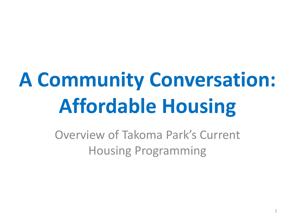## **A Community Conversation: Affordable Housing**

Overview of Takoma Park's Current Housing Programming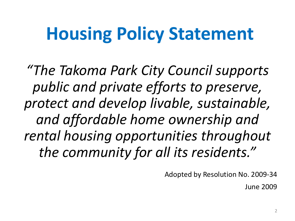### **Housing Policy Statement**

*"The Takoma Park City Council supports public and private efforts to preserve, protect and develop livable, sustainable, and affordable home ownership and rental housing opportunities throughout the community for all its residents."*

Adopted by Resolution No. 2009-34

June 2009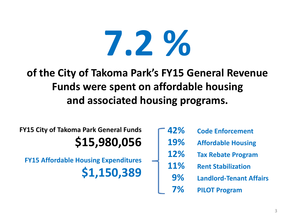# **7.2 %**

### **of the City of Takoma Park's FY15 General Revenue Funds were spent on affordable housing and associated housing programs.**

**FY15 City of Takoma Park General Funds \$15,980,056**

**FY15 Affordable Housing Expenditures \$1,150,389**

| 42% | <b>Code Enforcement</b>        |
|-----|--------------------------------|
| 19% | <b>Affordable Housing</b>      |
| 12% | <b>Tax Rebate Program</b>      |
| 11% | <b>Rent Stabilization</b>      |
| 9%  | <b>Landlord-Tenant Affairs</b> |
| 7%  | <b>PILOT Program</b>           |
|     |                                |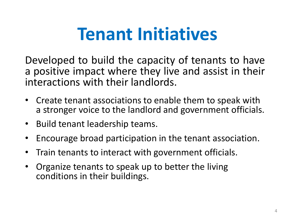### **Tenant Initiatives**

Developed to build the capacity of tenants to have a positive impact where they live and assist in their interactions with their landlords.

- Create tenant associations to enable them to speak with a stronger voice to the landlord and government officials.
- Build tenant leadership teams.
- Encourage broad participation in the tenant association.
- Train tenants to interact with government officials.
- Organize tenants to speak up to better the living conditions in their buildings.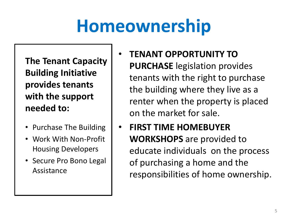### **Homeownership**

**The Tenant Capacity Building Initiative provides tenants with the support needed to:**

- Purchase The Building
- Work With Non-Profit Housing Developers
- Secure Pro Bono Legal Assistance
- **TENANT OPPORTUNITY TO PURCHASE** legislation provides tenants with the right to purchase the building where they live as a renter when the property is placed on the market for sale.
- **FIRST TIME HOMEBUYER WORKSHOPS** are provided to educate individuals on the process of purchasing a home and the responsibilities of home ownership.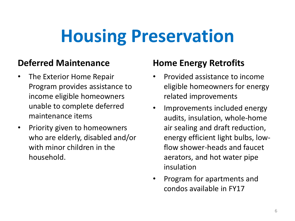## **Housing Preservation**

#### **Deferred Maintenance**

- The Exterior Home Repair Program provides assistance to income eligible homeowners unable to complete deferred maintenance items
- Priority given to homeowners who are elderly, disabled and/or with minor children in the household.

#### **Home Energy Retrofits**

- Provided assistance to income eligible homeowners for energy related improvements
- Improvements included energy audits, insulation, whole-home air sealing and draft reduction, energy efficient light bulbs, lowflow shower-heads and faucet aerators, and hot water pipe insulation
- Program for apartments and condos available in FY17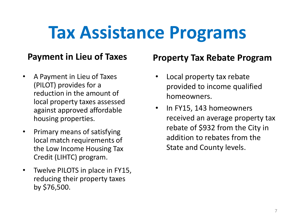### **Tax Assistance Programs**

#### **Payment in Lieu of Taxes**

- A Payment in Lieu of Taxes (PILOT) provides for a reduction in the amount of local property taxes assessed against approved affordable housing properties.
- Primary means of satisfying local match requirements of the Low Income Housing Tax Credit (LIHTC) program.
- Twelve PILOTS in place in FY15, reducing their property taxes by \$76,500.

#### **Property Tax Rebate Program**

- Local property tax rebate provided to income qualified homeowners.
- In FY15, 143 homeowners received an average property tax rebate of \$932 from the City in addition to rebates from the State and County levels.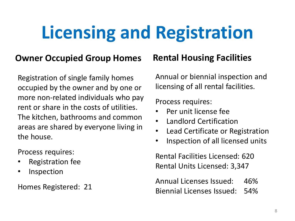## **Licensing and Registration**

#### **Owner Occupied Group Homes**

Registration of single family homes occupied by the owner and by one or more non-related individuals who pay rent or share in the costs of utilities. The kitchen, bathrooms and common areas are shared by everyone living in the house.

Process requires:

- Registration fee
- Inspection

Homes Registered: 21

#### **Rental Housing Facilities**

Annual or biennial inspection and licensing of all rental facilities.

Process requires:

- Per unit license fee
- Landlord Certification
- Lead Certificate or Registration
- Inspection of all licensed units

Rental Facilities Licensed: 620 Rental Units Licensed: 3,347

Annual Licenses Issued: 46% Biennial Licenses Issued: 54%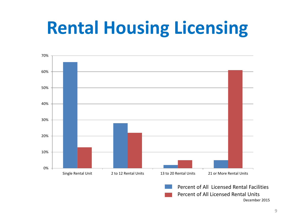### **Rental Housing Licensing**



December 2015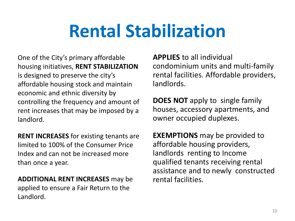### **Rental Stabilization**

One of the City's primary affordable housing initiatives, **RENT STABILIZATION**  is designed to preserve the city's affordable housing stock and maintain economic and ethnic diversity by controlling the frequency and amount of rent increases that may be imposed by a landlord.

**RENT INCREASES** for existing tenants are limited to 100% of the Consumer Price Index and can not be increased more than once a year.

**ADDITIONAL RENT INCREASES** may be applied to ensure a Fair Return to the Landlord.

**APPLIES** to all individual condominium units and multi-family rental facilities. Affordable providers, landlords.

**DOES NOT** apply to single family houses, accessory apartments, and owner occupied duplexes.

**EXEMPTIONS** may be provided to affordable housing providers, landlords renting to Income qualified tenants receiving rental assistance and to newly constructed rental facilities.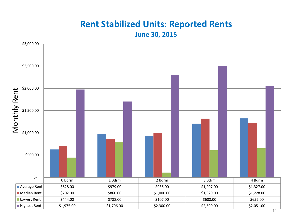### **Rent Stabilized Units: Reported Rents**

**June 30, 2015**

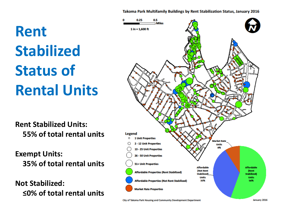#### Takoma Park Multifamily Buildings by Rent Stabilization Status, January 2016

**Rent Stabilized Status of Rental Units**

**Rent Stabilized Units: 55% of total rental units** 

**Exempt Units: 35% of total rental units**

**Not Stabilized: ≤0% of total rental units** 

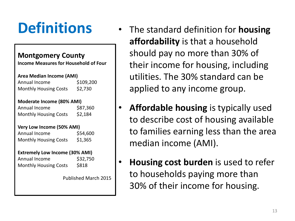#### **Montgomery County**

**Income Measures for Household of Four**

#### **Area Median Income (AMI)**

Annual Income \$109,200 Monthly Housing Costs \$2,730

#### **Moderate Income (80% AMI)**

Annual Income \$87,360 Monthly Housing Costs \$2,184

#### **Very Low Income (50% AMI)**

| Annual Income                | \$54,600 |
|------------------------------|----------|
| <b>Monthly Housing Costs</b> | \$1,365  |

#### **Extremely Low Income (30% AMI)**

Annual Income \$32,750 Monthly Housing Costs \$818

Published March 2015

- **Definitions** The standard definition for **housing affordability** is that a household should pay no more than 30% of their income for housing, including utilities. The 30% standard can be applied to any income group.
	- **Affordable housing** is typically used to describe cost of housing available to families earning less than the area median income (AMI).
	- **Housing cost burden** is used to refer to households paying more than 30% of their income for housing.